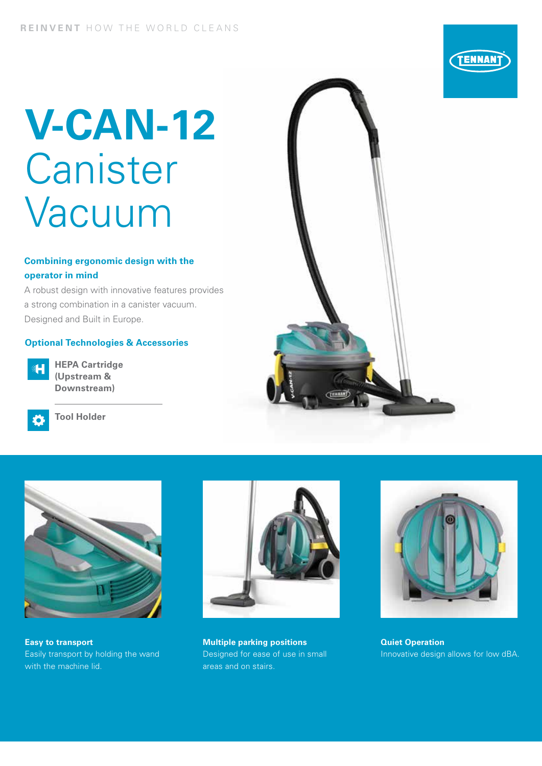# **V-CAN-12** Canister Vacuum

#### **Combining ergonomic design with the operator in mind**

A robust design with innovative features provides a strong combination in a canister vacuum. Designed and Built in Europe.

#### **Optional Technologies & Accessories**



**HEPA Cartridge (Upstream & Downstream)**



**Tool Holder**





**Easy to transport** Easily transport by holding the wand with the machine lid.



**Multiple parking positions** Designed for ease of use in small areas and on stairs.



**Quiet Operation**  Innovative design allows for low dBA.